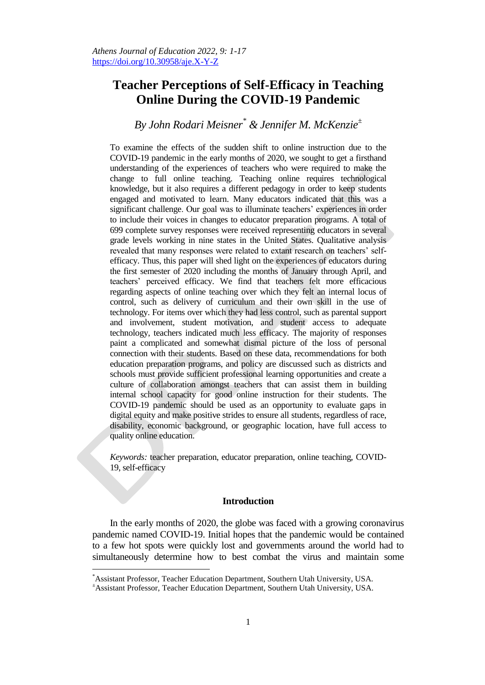# **Teacher Perceptions of Self-Efficacy in Teaching Online During the COVID-19 Pandemic**

## *By John Rodari Meisner\* & Jennifer M. McKenzie<sup>±</sup>*

To examine the effects of the sudden shift to online instruction due to the COVID-19 pandemic in the early months of 2020, we sought to get a firsthand understanding of the experiences of teachers who were required to make the change to full online teaching. Teaching online requires technological knowledge, but it also requires a different pedagogy in order to keep students engaged and motivated to learn. Many educators indicated that this was a significant challenge. Our goal was to illuminate teachers' experiences in order to include their voices in changes to educator preparation programs. A total of 699 complete survey responses were received representing educators in several grade levels working in nine states in the United States. Qualitative analysis revealed that many responses were related to extant research on teachers' selfefficacy. Thus, this paper will shed light on the experiences of educators during the first semester of 2020 including the months of January through April, and teachers" perceived efficacy. We find that teachers felt more efficacious regarding aspects of online teaching over which they felt an internal locus of control, such as delivery of curriculum and their own skill in the use of technology. For items over which they had less control, such as parental support and involvement, student motivation, and student access to adequate technology, teachers indicated much less efficacy. The majority of responses paint a complicated and somewhat dismal picture of the loss of personal connection with their students. Based on these data, recommendations for both education preparation programs, and policy are discussed such as districts and schools must provide sufficient professional learning opportunities and create a culture of collaboration amongst teachers that can assist them in building internal school capacity for good online instruction for their students. The COVID-19 pandemic should be used as an opportunity to evaluate gaps in digital equity and make positive strides to ensure all students, regardless of race, disability, economic background, or geographic location, have full access to quality online education.

*Keywords:* teacher preparation, educator preparation, online teaching, COVID-19, self-efficacy

## **Introduction**

In the early months of 2020, the globe was faced with a growing coronavirus pandemic named COVID-19. Initial hopes that the pandemic would be contained to a few hot spots were quickly lost and governments around the world had to simultaneously determine how to best combat the virus and maintain some

<sup>\*</sup>Assistant Professor, Teacher Education Department, Southern Utah University, USA.

<sup>±</sup>Assistant Professor, Teacher Education Department, Southern Utah University, USA.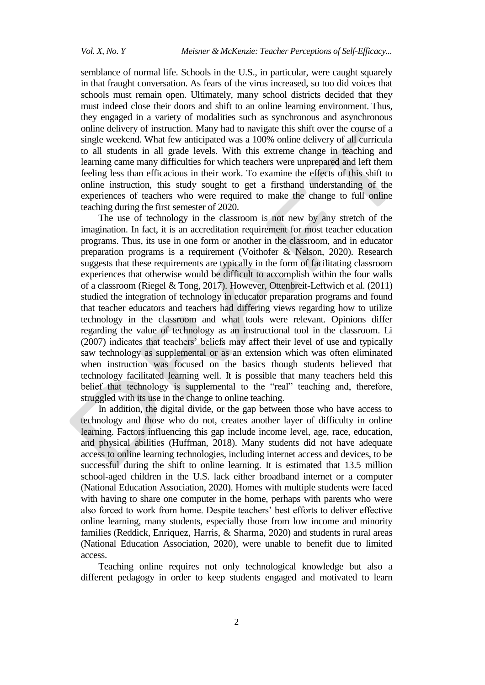semblance of normal life. Schools in the U.S., in particular, were caught squarely in that fraught conversation. As fears of the virus increased, so too did voices that schools must remain open. Ultimately, many school districts decided that they must indeed close their doors and shift to an online learning environment. Thus, they engaged in a variety of modalities such as synchronous and asynchronous online delivery of instruction. Many had to navigate this shift over the course of a single weekend. What few anticipated was a 100% online delivery of all curricula to all students in all grade levels. With this extreme change in teaching and learning came many difficulties for which teachers were unprepared and left them feeling less than efficacious in their work. To examine the effects of this shift to online instruction, this study sought to get a firsthand understanding of the experiences of teachers who were required to make the change to full online teaching during the first semester of 2020.

The use of technology in the classroom is not new by any stretch of the imagination. In fact, it is an accreditation requirement for most teacher education programs. Thus, its use in one form or another in the classroom, and in educator preparation programs is a requirement (Voithofer & Nelson, 2020). Research suggests that these requirements are typically in the form of facilitating classroom experiences that otherwise would be difficult to accomplish within the four walls of a classroom [\(Riegel & Tong, 2017\).](https://www.zotero.org/google-docs/?NU8n7e) However, Ottenbreit-Leftwich et al. (2011) studied the integration of technology in educator preparation programs and found that teacher educators and teachers had differing views regarding how to utilize technology in the classroom and what tools were relevant. Opinions differ regarding the value of technology as an instructional tool in the classroom. Li (2007) indicates that teachers" beliefs may affect their level of use and typically saw technology as supplemental or as an extension which was often eliminated when instruction was focused on the basics though students believed that technology facilitated learning well. It is possible that many teachers held this belief that technology is supplemental to the "real" teaching and, therefore, struggled with its use in the change to online teaching.

In addition, the digital divide, or the gap between those who have access to technology and those who do not, creates another layer of difficulty in online learning. Factors influencing this gap include income level, age, race, education, and physical abilities (Huffman, 2018). Many students did not have adequate access to online learning technologies, including internet access and devices, to be successful during the shift to online learning. It is estimated that 13.5 million school-aged children in the U.S. lack either broadband internet or a computer (National Education Association, 2020). Homes with multiple students were faced with having to share one computer in the home, perhaps with parents who were also forced to work from home. Despite teachers' best efforts to deliver effective online learning, many students, especially those from low income and minority families (Reddick, Enriquez, Harris, & Sharma, 2020) and students in rural areas (National Education Association, 2020), were unable to benefit due to limited access.

Teaching online requires not only technological knowledge but also a different pedagogy in order to keep students engaged and motivated to learn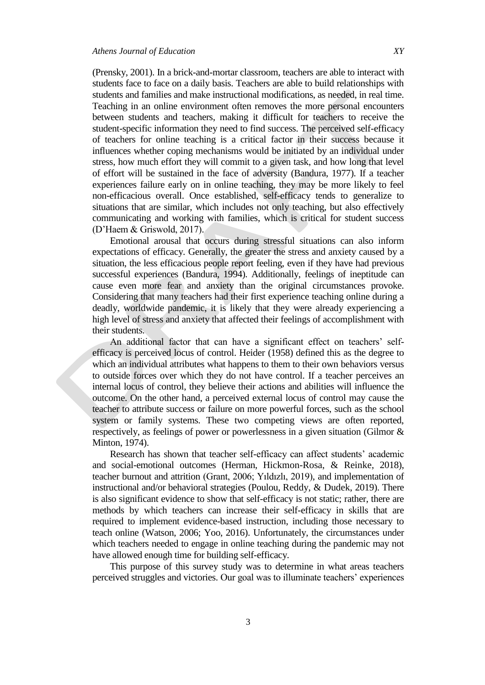(Prensky, 2001). In a brick-and-mortar classroom, teachers are able to interact with students face to face on a daily basis. Teachers are able to build relationships with students and families and make instructional modifications, as needed, in real time. Teaching in an online environment often removes the more personal encounters between students and teachers, making it difficult for teachers to receive the student-specific information they need to find success. The perceived self-efficacy of teachers for online teaching is a critical factor in their success because it influences whether coping mechanisms would be initiated by an individual under stress, how much effort they will commit to a given task, and how long that level of effort will be sustained in the face of adversity (Bandura, 1977). If a teacher experiences failure early on in online teaching, they may be more likely to feel non-efficacious overall. Once established, self-efficacy tends to generalize to situations that are similar, which includes not only teaching, but also effectively communicating and working with families, which is critical for student success (D"Haem & Griswold, 2017).

Emotional arousal that occurs during stressful situations can also inform expectations of efficacy. Generally, the greater the stress and anxiety caused by a situation, the less efficacious people report feeling, even if they have had previous successful experiences (Bandura, 1994). Additionally, feelings of ineptitude can cause even more fear and anxiety than the original circumstances provoke. Considering that many teachers had their first experience teaching online during a deadly, worldwide pandemic, it is likely that they were already experiencing a high level of stress and anxiety that affected their feelings of accomplishment with their students.

An additional factor that can have a significant effect on teachers' selfefficacy is perceived locus of control. Heider (1958) defined this as the degree to which an individual attributes what happens to them to their own behaviors versus to outside forces over which they do not have control. If a teacher perceives an internal locus of control, they believe their actions and abilities will influence the outcome. On the other hand, a perceived external locus of control may cause the teacher to attribute success or failure on more powerful forces, such as the school system or family systems. These two competing views are often reported, respectively, as feelings of power or powerlessness in a given situation (Gilmor & Minton, 1974).

Research has shown that teacher self-efficacy can affect students' academic and social-emotional outcomes [\(Herman, Hickmon-Rosa, & Reinke,](https://www.zotero.org/google-docs/?RYuuNX) 2018), teacher burnout and attrition (Grant, 2006; Yıldızlı, 2019), and implementation of instructional and/or behavioral strategies (Poulou, Reddy, & Dudek, 2019). There is also significant evidence to show that self-efficacy is not static; rather, there are methods by which teachers can increase their self-efficacy in skills that are required to implement evidence-based instruction, including those necessary to teach online (Watson, 2006; Yoo, 2016). Unfortunately, the circumstances under which teachers needed to engage in online teaching during the pandemic may not have allowed enough time for building self-efficacy.

This purpose of this survey study was to determine in what areas teachers perceived struggles and victories. Our goal was to illuminate teachers" experiences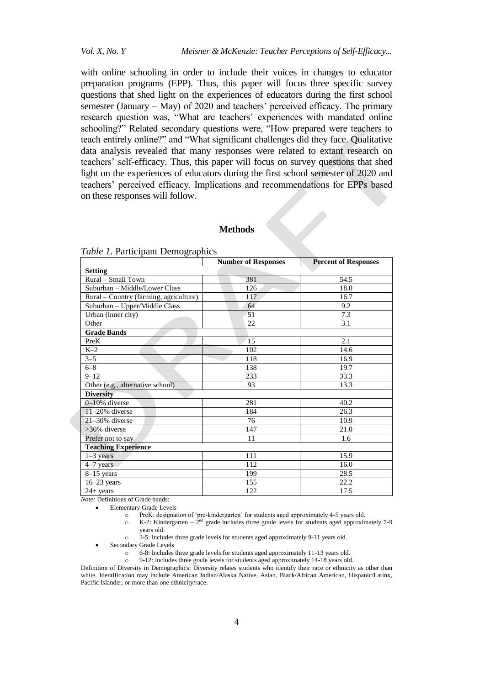with online schooling in order to include their voices in changes to educator preparation programs (EPP). Thus, this paper will focus three specific survey questions that shed light on the experiences of educators during the first school semester (January  $-$  May) of 2020 and teachers' perceived efficacy. The primary research question was, "What are teachers' experiences with mandated online schooling?" Related secondary questions were, "How prepared were teachers to teach entirely online?" and "What significant challenges did they face. Qualitative data analysis revealed that many responses were related to extant research on teachers" self-efficacy. Thus, this paper will focus on survey questions that shed light on the experiences of educators during the first school semester of 2020 and teachers" perceived efficacy. Implications and recommendations for EPPs based on these responses will follow.

## **Methods**

| Table 1. Participant Demographics |  |
|-----------------------------------|--|
|-----------------------------------|--|

| ັ                                      | <b>Number of Responses</b> | <b>Percent of Responses</b> |  |
|----------------------------------------|----------------------------|-----------------------------|--|
| <b>Setting</b>                         |                            |                             |  |
| Rural - Small Town                     | 381                        | 54.5                        |  |
| Suburban - Middle/Lower Class          | 126                        | 18.0                        |  |
| Rural – Country (farming, agriculture) | 117                        | 16.7                        |  |
| Suburban - Upper/Middle Class          | 64                         | 9.2                         |  |
| Urban (inner city)                     | 51                         | $\overline{7.3}$            |  |
| Other                                  | 22                         | 3.1                         |  |
| <b>Grade Bands</b>                     |                            |                             |  |
| PreK                                   | 15                         | 2.1                         |  |
| $K-2$                                  | 102                        | 14.6                        |  |
| $3 - 5$                                | 118                        | 16.9                        |  |
| $6 - 8$                                | 138                        | 19.7                        |  |
| $9 - 12$                               | 233                        | 33.3                        |  |
| Other (e.g., alternative school)       | 93                         | 13.3                        |  |
| <b>Diversity</b>                       |                            |                             |  |
| $0-10%$ diverse                        | 281                        | 40.2                        |  |
| $11-20%$ diverse                       | 184                        | 26.3                        |  |
| $21-30\%$ diverse                      | 76                         | 10.9                        |  |
| >30% diverse                           | 147                        | 21.0                        |  |
| Prefer not to say                      | 11                         | 1.6                         |  |
| <b>Teaching Experience</b>             |                            |                             |  |
| $1-3$ years                            | 111                        | 15.9                        |  |
| 4-7 years                              | 112                        | 16.0                        |  |
| $8-15$ years                           | 199                        | 28.5                        |  |
| $16-23$ years                          | 155                        | 22.2                        |  |
| $24 + years$                           | 122                        | 17.5                        |  |

*Note:* Definitions of Grade bands:

• Elementary Grade Levels

o PreK: designation of "pre-kindergarten" for students aged approximately 4-5 years old.

 $\circ$  K-2: Kindergarten –  $2<sup>nd</sup>$  grade includes three grade levels for students aged approximately 7-9 years old.

o 3-5: Includes three grade levels for students aged approximately 9-11 years old.

Secondary Grade Levels

o 6-8: Includes three grade levels for students aged approximately 11-13 years old.

o 9-12: Includes three grade levels for students aged approximately 14-18 years old.

Definition of Diversity in Demographics: Diversity relates students who identify their race or ethnicity as other than white. Identification may include American Indian/Alaska Native, Asian, Black/African American, Hispanic/Latinx, Pacific Islander, or more than one ethnicity/race.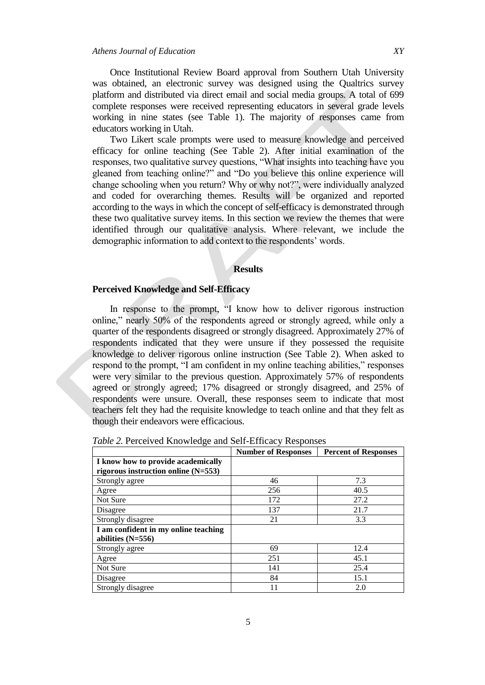Once Institutional Review Board approval from Southern Utah University was obtained, an electronic survey was designed using the Qualtrics survey platform and distributed via direct email and social media groups. A total of 699 complete responses were received representing educators in several grade levels working in nine states (see Table 1). The majority of responses came from educators working in Utah.

Two Likert scale prompts were used to measure knowledge and perceived efficacy for online teaching (See Table 2). After initial examination of the responses, two qualitative survey questions, "What insights into teaching have you gleaned from teaching online?" and "Do you believe this online experience will change schooling when you return? Why or why not?", were individually analyzed and coded for overarching themes. Results will be organized and reported according to the ways in which the concept of self-efficacy is demonstrated through these two qualitative survey items. In this section we review the themes that were identified through our qualitative analysis. Where relevant, we include the demographic information to add context to the respondents' words.

#### **Results**

## **Perceived Knowledge and Self-Efficacy**

In response to the prompt, "I know how to deliver rigorous instruction online," nearly 50% of the respondents agreed or strongly agreed, while only a quarter of the respondents disagreed or strongly disagreed. Approximately 27% of respondents indicated that they were unsure if they possessed the requisite knowledge to deliver rigorous online instruction (See Table 2). When asked to respond to the prompt, "I am confident in my online teaching abilities," responses were very similar to the previous question. Approximately 57% of respondents agreed or strongly agreed; 17% disagreed or strongly disagreed, and 25% of respondents were unsure. Overall, these responses seem to indicate that most teachers felt they had the requisite knowledge to teach online and that they felt as though their endeavors were efficacious.

| ັ                                     |                            |                             |
|---------------------------------------|----------------------------|-----------------------------|
|                                       | <b>Number of Responses</b> | <b>Percent of Responses</b> |
| I know how to provide academically    |                            |                             |
| rigorous instruction online $(N=553)$ |                            |                             |
| Strongly agree                        | 46                         | 7.3                         |
| Agree                                 | 256                        | 40.5                        |
| Not Sure                              | 172                        | 27.2                        |
| Disagree                              | 137                        | 21.7                        |
| Strongly disagree                     | 21                         | 3.3                         |
| I am confident in my online teaching  |                            |                             |
| abilities $(N=556)$                   |                            |                             |
| Strongly agree                        | 69                         | 12.4                        |
| Agree                                 | 251                        | 45.1                        |
| Not Sure                              | 141                        | 25.4                        |
| Disagree                              | 84                         | 15.1                        |
| Strongly disagree                     | 11                         | 2.0                         |

*Table 2.* Perceived Knowledge and Self-Efficacy Responses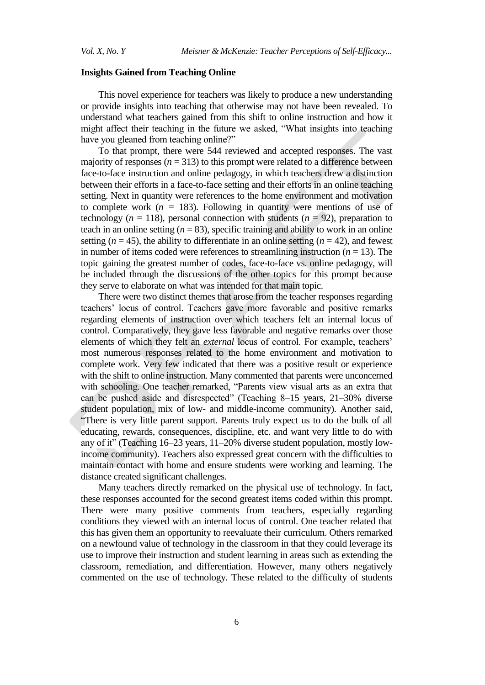#### **Insights Gained from Teaching Online**

This novel experience for teachers was likely to produce a new understanding or provide insights into teaching that otherwise may not have been revealed. To understand what teachers gained from this shift to online instruction and how it might affect their teaching in the future we asked, "What insights into teaching have you gleaned from teaching online?"

To that prompt, there were 544 reviewed and accepted responses. The vast majority of responses  $(n = 313)$  to this prompt were related to a difference between face-to-face instruction and online pedagogy, in which teachers drew a distinction between their efforts in a face-to-face setting and their efforts in an online teaching setting. Next in quantity were references to the home environment and motivation to complete work  $(n = 183)$ . Following in quantity were mentions of use of technology ( $n = 118$ ), personal connection with students ( $n = 92$ ), preparation to teach in an online setting  $(n = 83)$ , specific training and ability to work in an online setting  $(n = 45)$ , the ability to differentiate in an online setting  $(n = 42)$ , and fewest in number of items coded were references to streamlining instruction  $(n = 13)$ . The topic gaining the greatest number of codes, face-to-face vs. online pedagogy, will be included through the discussions of the other topics for this prompt because they serve to elaborate on what was intended for that main topic.

There were two distinct themes that arose from the teacher responses regarding teachers" locus of control. Teachers gave more favorable and positive remarks regarding elements of instruction over which teachers felt an internal locus of control. Comparatively, they gave less favorable and negative remarks over those elements of which they felt an *external* locus of control. For example, teachers' most numerous responses related to the home environment and motivation to complete work. Very few indicated that there was a positive result or experience with the shift to online instruction. Many commented that parents were unconcerned with schooling. One teacher remarked, "Parents view visual arts as an extra that can be pushed aside and disrespected" (Teaching 8–15 years, 21–30% diverse student population, mix of low- and middle-income community). Another said, "There is very little parent support. Parents truly expect us to do the bulk of all educating, rewards, consequences, discipline, etc. and want very little to do with any of it" (Teaching 16–23 years, 11–20% diverse student population, mostly lowincome community). Teachers also expressed great concern with the difficulties to maintain contact with home and ensure students were working and learning. The distance created significant challenges.

Many teachers directly remarked on the physical use of technology. In fact, these responses accounted for the second greatest items coded within this prompt. There were many positive comments from teachers, especially regarding conditions they viewed with an internal locus of control. One teacher related that this has given them an opportunity to reevaluate their curriculum. Others remarked on a newfound value of technology in the classroom in that they could leverage its use to improve their instruction and student learning in areas such as extending the classroom, remediation, and differentiation. However, many others negatively commented on the use of technology. These related to the difficulty of students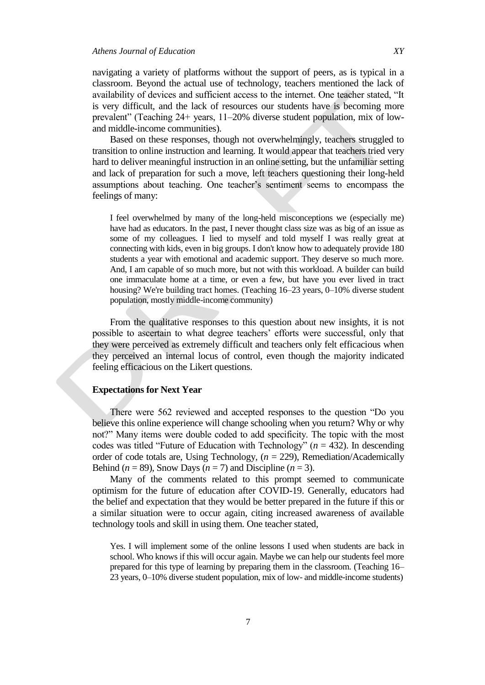navigating a variety of platforms without the support of peers, as is typical in a classroom. Beyond the actual use of technology, teachers mentioned the lack of availability of devices and sufficient access to the internet. One teacher stated, "It is very difficult, and the lack of resources our students have is becoming more prevalent" (Teaching 24+ years, 11–20% diverse student population, mix of lowand middle-income communities).

Based on these responses, though not overwhelmingly, teachers struggled to transition to online instruction and learning. It would appear that teachers tried very hard to deliver meaningful instruction in an online setting, but the unfamiliar setting and lack of preparation for such a move, left teachers questioning their long-held assumptions about teaching. One teacher"s sentiment seems to encompass the feelings of many:

I feel overwhelmed by many of the long-held misconceptions we (especially me) have had as educators. In the past, I never thought class size was as big of an issue as some of my colleagues. I lied to myself and told myself I was really great at connecting with kids, even in big groups. I don't know how to adequately provide 180 students a year with emotional and academic support. They deserve so much more. And, I am capable of so much more, but not with this workload. A builder can build one immaculate home at a time, or even a few, but have you ever lived in tract housing? We're building tract homes. (Teaching 16–23 years, 0–10% diverse student population, mostly middle-income community)

From the qualitative responses to this question about new insights, it is not possible to ascertain to what degree teachers' efforts were successful, only that they were perceived as extremely difficult and teachers only felt efficacious when they perceived an internal locus of control, even though the majority indicated feeling efficacious on the Likert questions.

## **Expectations for Next Year**

There were 562 reviewed and accepted responses to the question "Do you believe this online experience will change schooling when you return? Why or why not?" Many items were double coded to add specificity. The topic with the most codes was titled "Future of Education with Technology" (*n* = 432). In descending order of code totals are, Using Technology, (*n* = 229), Remediation/Academically Behind ( $n = 89$ ), Snow Days ( $n = 7$ ) and Discipline ( $n = 3$ ).

Many of the comments related to this prompt seemed to communicate optimism for the future of education after COVID-19. Generally, educators had the belief and expectation that they would be better prepared in the future if this or a similar situation were to occur again, citing increased awareness of available technology tools and skill in using them. One teacher stated,

Yes. I will implement some of the online lessons I used when students are back in school. Who knows if this will occur again. Maybe we can help our students feel more prepared for this type of learning by preparing them in the classroom. (Teaching 16– 23 years, 0–10% diverse student population, mix of low- and middle-income students)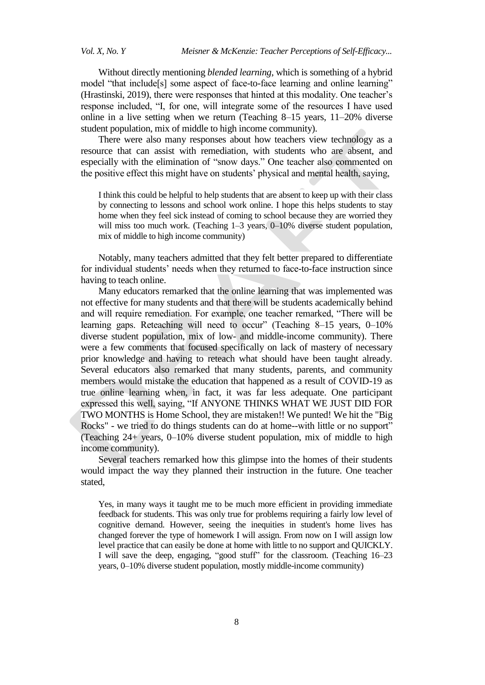Without directly mentioning *blended learning*, which is something of a hybrid model "that include<sup>[s]</sup> some aspect of face-to-face learning and online learning" (Hrastinski, 2019), there were responses that hinted at this modality. One teacher"s response included, "I, for one, will integrate some of the resources I have used online in a live setting when we return (Teaching 8–15 years, 11–20% diverse student population, mix of middle to high income community).

There were also many responses about how teachers view technology as a resource that can assist with remediation, with students who are absent, and especially with the elimination of "snow days." One teacher also commented on the positive effect this might have on students" physical and mental health, saying,

I think this could be helpful to help students that are absent to keep up with their class by connecting to lessons and school work online. I hope this helps students to stay home when they feel sick instead of coming to school because they are worried they will miss too much work. (Teaching 1–3 years, 0–10% diverse student population, mix of middle to high income community)

Notably, many teachers admitted that they felt better prepared to differentiate for individual students' needs when they returned to face-to-face instruction since having to teach online.

Many educators remarked that the online learning that was implemented was not effective for many students and that there will be students academically behind and will require remediation. For example, one teacher remarked, "There will be learning gaps. Reteaching will need to occur" (Teaching 8–15 years, 0–10%) diverse student population, mix of low- and middle-income community). There were a few comments that focused specifically on lack of mastery of necessary prior knowledge and having to reteach what should have been taught already. Several educators also remarked that many students, parents, and community members would mistake the education that happened as a result of COVID-19 as true online learning when, in fact, it was far less adequate. One participant expressed this well, saying, "If ANYONE THINKS WHAT WE JUST DID FOR TWO MONTHS is Home School, they are mistaken!! We punted! We hit the "Big Rocks" - we tried to do things students can do at home--with little or no support" (Teaching 24+ years, 0–10% diverse student population, mix of middle to high income community).

Several teachers remarked how this glimpse into the homes of their students would impact the way they planned their instruction in the future. One teacher stated,

Yes, in many ways it taught me to be much more efficient in providing immediate feedback for students. This was only true for problems requiring a fairly low level of cognitive demand. However, seeing the inequities in student's home lives has changed forever the type of homework I will assign. From now on I will assign low level practice that can easily be done at home with little to no support and QUICKLY. I will save the deep, engaging, "good stuff" for the classroom. (Teaching 16–23 years, 0–10% diverse student population, mostly middle-income community)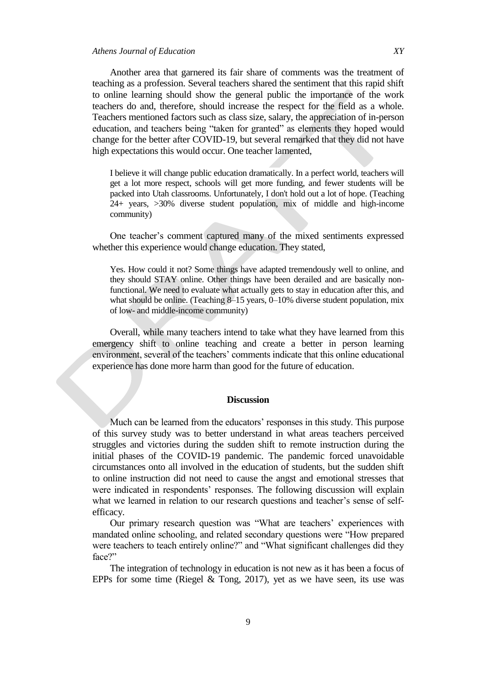Another area that garnered its fair share of comments was the treatment of teaching as a profession. Several teachers shared the sentiment that this rapid shift to online learning should show the general public the importance of the work teachers do and, therefore, should increase the respect for the field as a whole. Teachers mentioned factors such as class size, salary, the appreciation of in-person education, and teachers being "taken for granted" as elements they hoped would change for the better after COVID-19, but several remarked that they did not have high expectations this would occur. One teacher lamented,

I believe it will change public education dramatically. In a perfect world, teachers will get a lot more respect, schools will get more funding, and fewer students will be packed into Utah classrooms. Unfortunately, I don't hold out a lot of hope. (Teaching 24+ years, >30% diverse student population, mix of middle and high-income community)

One teacher"s comment captured many of the mixed sentiments expressed whether this experience would change education. They stated,

Yes. How could it not? Some things have adapted tremendously well to online, and they should STAY online. Other things have been derailed and are basically nonfunctional. We need to evaluate what actually gets to stay in education after this, and what should be online. (Teaching 8–15 years, 0–10% diverse student population, mix of low- and middle-income community)

Overall, while many teachers intend to take what they have learned from this emergency shift to online teaching and create a better in person learning environment, several of the teachers" comments indicate that this online educational experience has done more harm than good for the future of education.

#### **Discussion**

Much can be learned from the educators' responses in this study. This purpose of this survey study was to better understand in what areas teachers perceived struggles and victories during the sudden shift to remote instruction during the initial phases of the COVID-19 pandemic. The pandemic forced unavoidable circumstances onto all involved in the education of students, but the sudden shift to online instruction did not need to cause the angst and emotional stresses that were indicated in respondents' responses. The following discussion will explain what we learned in relation to our research questions and teacher's sense of selfefficacy.

Our primary research question was "What are teachers' experiences with mandated online schooling, and related secondary questions were "How prepared were teachers to teach entirely online?" and "What significant challenges did they face?"

The integration of technology in education is not new as it has been a focus of EPPs for some time [\(Riegel & Tong, 2017\),](https://www.zotero.org/google-docs/?V6t09A) yet as we have seen, its use was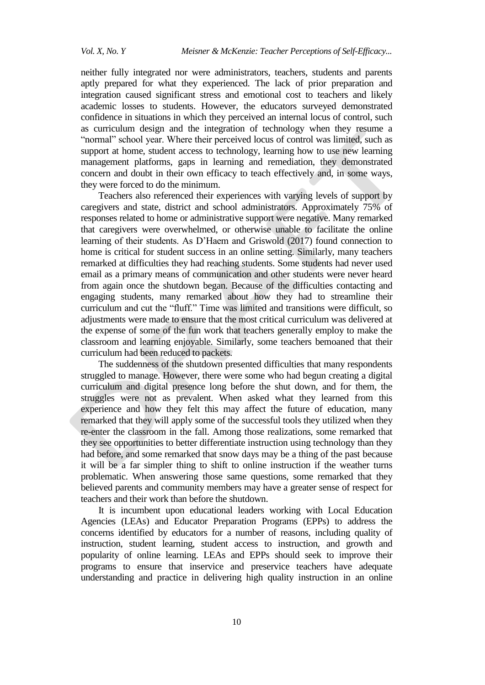neither fully integrated nor were administrators, teachers, students and parents aptly prepared for what they experienced. The lack of prior preparation and integration caused significant stress and emotional cost to teachers and likely academic losses to students. However, the educators surveyed demonstrated confidence in situations in which they perceived an internal locus of control, such as curriculum design and the integration of technology when they resume a "normal" school year. Where their perceived locus of control was limited, such as support at home, student access to technology, learning how to use new learning management platforms, gaps in learning and remediation, they demonstrated concern and doubt in their own efficacy to teach effectively and, in some ways, they were forced to do the minimum.

Teachers also referenced their experiences with varying levels of support by caregivers and state, district and school administrators. Approximately 75% of responses related to home or administrative support were negative. Many remarked that caregivers were overwhelmed, or otherwise unable to facilitate the online learning of their students. As D"Haem and Griswold (2017) found connection to home is critical for student success in an online setting. Similarly, many teachers remarked at difficulties they had reaching students. Some students had never used email as a primary means of communication and other students were never heard from again once the shutdown began. Because of the difficulties contacting and engaging students, many remarked about how they had to streamline their curriculum and cut the "fluff." Time was limited and transitions were difficult, so adjustments were made to ensure that the most critical curriculum was delivered at the expense of some of the fun work that teachers generally employ to make the classroom and learning enjoyable. Similarly, some teachers bemoaned that their curriculum had been reduced to packets.

The suddenness of the shutdown presented difficulties that many respondents struggled to manage. However, there were some who had begun creating a digital curriculum and digital presence long before the shut down, and for them, the struggles were not as prevalent. When asked what they learned from this experience and how they felt this may affect the future of education, many remarked that they will apply some of the successful tools they utilized when they re-enter the classroom in the fall. Among those realizations, some remarked that they see opportunities to better differentiate instruction using technology than they had before, and some remarked that snow days may be a thing of the past because it will be a far simpler thing to shift to online instruction if the weather turns problematic. When answering those same questions, some remarked that they believed parents and community members may have a greater sense of respect for teachers and their work than before the shutdown.

It is incumbent upon educational leaders working with Local Education Agencies (LEAs) and Educator Preparation Programs (EPPs) to address the concerns identified by educators for a number of reasons, including quality of instruction, student learning, student access to instruction, and growth and popularity of online learning. LEAs and EPPs should seek to improve their programs to ensure that inservice and preservice teachers have adequate understanding and practice in delivering high quality instruction in an online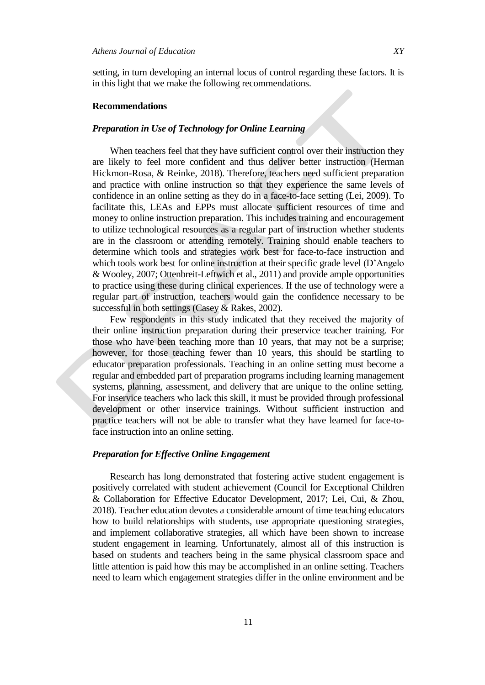setting, in turn developing an internal locus of control regarding these factors. It is in this light that we make the following recommendations.

#### **Recommendations**

## *Preparation in Use of Technology for Online Learning*

When teachers feel that they have sufficient control over their instruction they are likely to feel more confident and thus deliver better instruction [\(Herman](https://www.zotero.org/google-docs/?Iyj0yW)  [Hickmon-Rosa, & Reinke,](https://www.zotero.org/google-docs/?Iyj0yW) 2018). Therefore, teachers need sufficient preparation and practice with online instruction so that they experience the same levels of confidence in an online setting as they do in a face-to-face setting (Lei, 2009). To facilitate this, LEAs and EPPs must allocate sufficient resources of time and money to online instruction preparation. This includes training and encouragement to utilize technological resources as a regular part of instruction whether students are in the classroom or attending remotely. Training should enable teachers to determine which tools and strategies work best for face-to-face instruction and which tools work best for online instruction at their specific grade level (D'Angelo & Wooley, 2007; Ottenbreit-Leftwich et al., 2011) and provide ample opportunities to practice using these during clinical experiences. If the use of technology were a regular part of instruction, teachers would gain the confidence necessary to be successful in both settings (Casey & Rakes, 2002).

Few respondents in this study indicated that they received the majority of their online instruction preparation during their preservice teacher training. For those who have been teaching more than 10 years, that may not be a surprise; however, for those teaching fewer than 10 years, this should be startling to educator preparation professionals. Teaching in an online setting must become a regular and embedded part of preparation programs including learning management systems, planning, assessment, and delivery that are unique to the online setting. For inservice teachers who lack this skill, it must be provided through professional development or other inservice trainings. Without sufficient instruction and practice teachers will not be able to transfer what they have learned for face-toface instruction into an online setting.

## *Preparation for Effective Online Engagement*

Research has long demonstrated that fostering active student engagement is positively correlated with student achievement (Council for Exceptional Children & Collaboration for Effective Educator Development, 2017; Lei, Cui, & Zhou, 2018). Teacher education devotes a considerable amount of time teaching educators how to build relationships with students, use appropriate questioning strategies, and implement collaborative strategies, all which have been shown to increase student engagement in learning. Unfortunately, almost all of this instruction is based on students and teachers being in the same physical classroom space and little attention is paid how this may be accomplished in an online setting. Teachers need to learn which engagement strategies differ in the online environment and be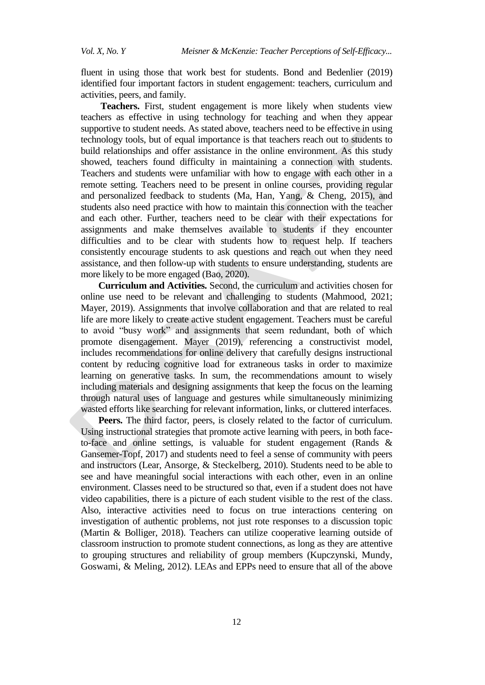fluent in using those that work best for students. Bond and Bedenlier (2019) identified four important factors in student engagement: teachers, curriculum and activities, peers, and family.

**Teachers.** First, student engagement is more likely when students view teachers as effective in using technology for teaching and when they appear supportive to student needs. As stated above, teachers need to be effective in using technology tools, but of equal importance is that teachers reach out to students to build relationships and offer assistance in the online environment. As this study showed, teachers found difficulty in maintaining a connection with students. Teachers and students were unfamiliar with how to engage with each other in a remote setting. Teachers need to be present in online courses, providing regular and personalized feedback to students (Ma, Han, Yang, & Cheng, 2015), and students also need practice with how to maintain this connection with the teacher and each other. Further, teachers need to be clear with their expectations for assignments and make themselves available to students if they encounter difficulties and to be clear with students how to request help. If teachers consistently encourage students to ask questions and reach out when they need assistance, and then follow-up with students to ensure understanding, students are more likely to be more engaged (Bao, 2020).

**Curriculum and Activities.** Second, the curriculum and activities chosen for online use need to be relevant and challenging to students (Mahmood, 2021; Mayer, 2019). Assignments that involve collaboration and that are related to real life are more likely to create active student engagement. Teachers must be careful to avoid "busy work" and assignments that seem redundant, both of which promote disengagement. Mayer (2019), referencing a constructivist model, includes recommendations for online delivery that carefully designs instructional content by reducing cognitive load for extraneous tasks in order to maximize learning on generative tasks. In sum, the recommendations amount to wisely including materials and designing assignments that keep the focus on the learning through natural uses of language and gestures while simultaneously minimizing wasted efforts like searching for relevant information, links, or cluttered interfaces.

**Peers.** The third factor, peers, is closely related to the factor of curriculum. Using instructional strategies that promote active learning with peers, in both faceto-face and online settings, is valuable for student engagement (Rands & Gansemer-Topf, 2017) and students need to feel a sense of community with peers and instructors (Lear, Ansorge, & Steckelberg, 2010). Students need to be able to see and have meaningful social interactions with each other, even in an online environment. Classes need to be structured so that, even if a student does not have video capabilities, there is a picture of each student visible to the rest of the class. Also, interactive activities need to focus on true interactions centering on investigation of authentic problems, not just rote responses to a discussion topic (Martin & Bolliger, 2018). Teachers can utilize cooperative learning outside of classroom instruction to promote student connections, as long as they are attentive to grouping structures and reliability of group members (Kupczynski, Mundy, Goswami, & Meling, 2012). LEAs and EPPs need to ensure that all of the above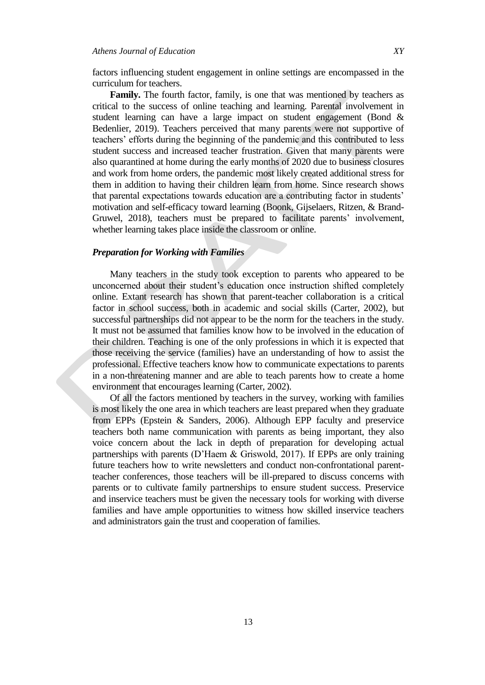factors influencing student engagement in online settings are encompassed in the curriculum for teachers.

**Family.** The fourth factor, family, is one that was mentioned by teachers as critical to the success of online teaching and learning. Parental involvement in student learning can have a large impact on student engagement (Bond & Bedenlier, 2019). Teachers perceived that many parents were not supportive of teachers" efforts during the beginning of the pandemic and this contributed to less student success and increased teacher frustration. Given that many parents were also quarantined at home during the early months of 2020 due to business closures and work from home orders, the pandemic most likely created additional stress for them in addition to having their children learn from home. Since research shows that parental expectations towards education are a contributing factor in students" motivation and self-efficacy toward learning (Boonk, Gijselaers, Ritzen, & Brand-Gruwel, 2018), teachers must be prepared to facilitate parents' involvement, whether learning takes place inside the classroom or online.

#### *Preparation for Working with Families*

Many teachers in the study took exception to parents who appeared to be unconcerned about their student"s education once instruction shifted completely online. Extant research has shown that parent-teacher collaboration is a critical factor in school success, both in academic and social skills (Carter, 2002), but successful partnerships did not appear to be the norm for the teachers in the study. It must not be assumed that families know how to be involved in the education of their children. Teaching is one of the only professions in which it is expected that those receiving the service (families) have an understanding of how to assist the professional. Effective teachers know how to communicate expectations to parents in a non-threatening manner and are able to teach parents how to create a home environment that encourages learning (Carter, 2002).

Of all the factors mentioned by teachers in the survey, working with families is most likely the one area in which teachers are least prepared when they graduate from EPPs (Epstein & Sanders, 2006). Although EPP faculty and preservice teachers both name communication with parents as being important, they also voice concern about the lack in depth of preparation for developing actual partnerships with parents (D"Haem & Griswold, 2017). If EPPs are only training future teachers how to write newsletters and conduct non-confrontational parentteacher conferences, those teachers will be ill-prepared to discuss concerns with parents or to cultivate family partnerships to ensure student success. Preservice and inservice teachers must be given the necessary tools for working with diverse families and have ample opportunities to witness how skilled inservice teachers and administrators gain the trust and cooperation of families.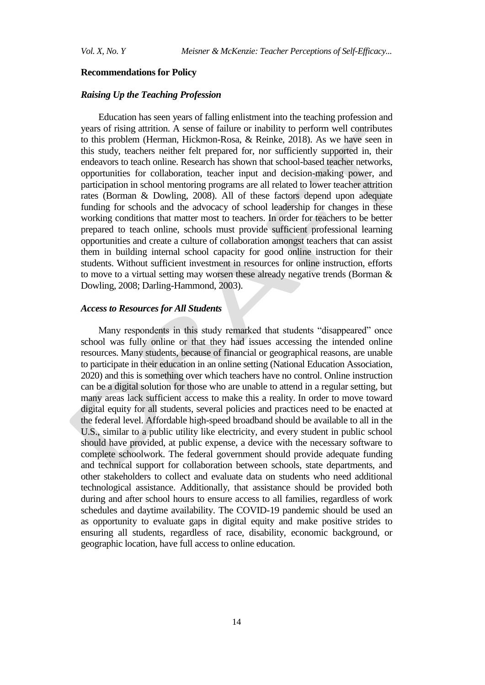#### **Recommendations for Policy**

## *Raising Up the Teaching Profession*

Education has seen years of falling enlistment into the teaching profession and years of rising attrition. A sense of failure or inability to perform well contributes to this problem (Herman, Hickmon-Rosa, & Reinke, 2018). As we have seen in this study, teachers neither felt prepared for, nor sufficiently supported in, their endeavors to teach online. Research has shown that school-based teacher networks, opportunities for collaboration, teacher input and decision-making power, and participation in school mentoring programs are all related to lower teacher attrition rates (Borman & Dowling, 2008). All of these factors depend upon adequate funding for schools and the advocacy of school leadership for changes in these working conditions that matter most to teachers. In order for teachers to be better prepared to teach online, schools must provide sufficient professional learning opportunities and create a culture of collaboration amongst teachers that can assist them in building internal school capacity for good online instruction for their students. Without sufficient investment in resources for online instruction, efforts to move to a virtual setting may worsen these already negative trends (Borman & Dowling, 2008; Darling-Hammond, 2003).

## *Access to Resources for All Students*

Many respondents in this study remarked that students "disappeared" once school was fully online or that they had issues accessing the intended online resources. Many students, because of financial or geographical reasons, are unable to participate in their education in an online setting (National Education Association, 2020) and this is something over which teachers have no control. Online instruction can be a digital solution for those who are unable to attend in a regular setting, but many areas lack sufficient access to make this a reality. In order to move toward digital equity for all students, several policies and practices need to be enacted at the federal level. Affordable high-speed broadband should be available to all in the U.S., similar to a public utility like electricity, and every student in public school should have provided, at public expense, a device with the necessary software to complete schoolwork. The federal government should provide adequate funding and technical support for collaboration between schools, state departments, and other stakeholders to collect and evaluate data on students who need additional technological assistance. Additionally, that assistance should be provided both during and after school hours to ensure access to all families, regardless of work schedules and daytime availability. The COVID-19 pandemic should be used an as opportunity to evaluate gaps in digital equity and make positive strides to ensuring all students, regardless of race, disability, economic background, or geographic location, have full access to online education.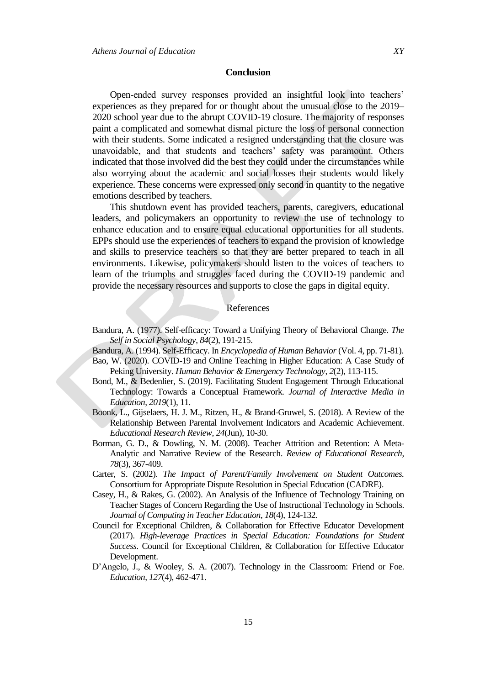Open-ended survey responses provided an insightful look into teachers" experiences as they prepared for or thought about the unusual close to the 2019– 2020 school year due to the abrupt COVID-19 closure. The majority of responses paint a complicated and somewhat dismal picture the loss of personal connection with their students. Some indicated a resigned understanding that the closure was unavoidable, and that students and teachers' safety was paramount. Others indicated that those involved did the best they could under the circumstances while also worrying about the academic and social losses their students would likely experience. These concerns were expressed only second in quantity to the negative emotions described by teachers.

This shutdown event has provided teachers, parents, caregivers, educational leaders, and policymakers an opportunity to review the use of technology to enhance education and to ensure equal educational opportunities for all students. EPPs should use the experiences of teachers to expand the provision of knowledge and skills to preservice teachers so that they are better prepared to teach in all environments. Likewise, policymakers should listen to the voices of teachers to learn of the triumphs and struggles faced during the COVID-19 pandemic and provide the necessary resources and supports to close the gaps in digital equity.

### References

Bandura, A. (1977). Self-efficacy: Toward a Unifying Theory of Behavioral Change. *The Self in Social Psychology*, *84*(2), 191-215.

Bandura, A. (1994). Self-Efficacy. In *Encyclopedia of Human Behavior* (Vol. 4, pp. 71-81).

- Bao, W. (2020). COVID-19 and Online Teaching in Higher Education: A Case Study of Peking University. *Human Behavior & Emergency Technology*, *2*(2), 113-115.
- Bond, M., & Bedenlier, S. (2019). Facilitating Student Engagement Through Educational Technology: Towards a Conceptual Framework. *Journal of Interactive Media in Education*, *2019*(1), 11.
- Boonk, L., Gijselaers, H. J. M., Ritzen, H., & Brand-Gruwel, S. (2018). A Review of the Relationship Between Parental Involvement Indicators and Academic Achievement. *Educational Research Review*, *24*(Jun), 10-30.
- Borman, G. D., & Dowling, N. M. (2008). Teacher Attrition and Retention: A Meta-Analytic and Narrative Review of the Research. *Review of Educational Research*, *78*(3), 367-409.
- Carter, S. (2002). *The Impact of Parent/Family Involvement on Student Outcomes.* Consortium for Appropriate Dispute Resolution in Special Education (CADRE).
- Casey, H., & Rakes, G. (2002). An Analysis of the Influence of Technology Training on Teacher Stages of Concern Regarding the Use of Instructional Technology in Schools. *Journal of Computing in Teacher Education*, *18*(4), 124-132.
- Council for Exceptional Children, & Collaboration for Effective Educator Development (2017). *High-leverage Practices in Special Education: Foundations for Student Success*. Council for Exceptional Children, & Collaboration for Effective Educator Development.
- D'Angelo, J., & Wooley, S. A. (2007). Technology in the Classroom: Friend or Foe. *Education*, *127*(4), 462-471.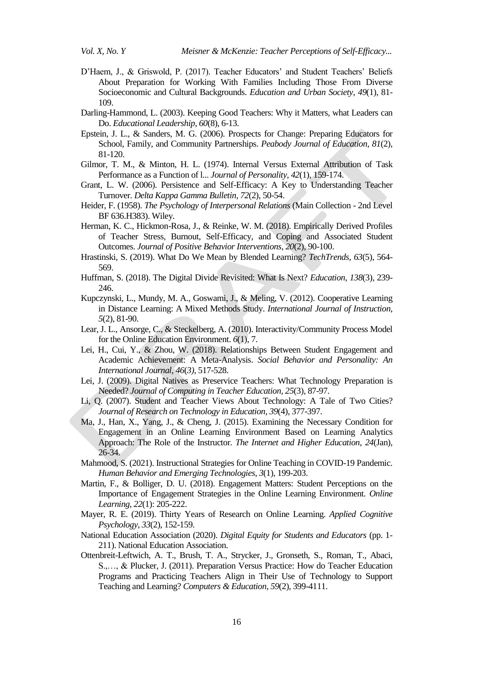- D'Haem, J., & Griswold, P. (2017). Teacher Educators' and Student Teachers' Beliefs About Preparation for Working With Families Including Those From Diverse Socioeconomic and Cultural Backgrounds. *Education and Urban Society*, *49*(1), 81- 109.
- Darling-Hammond, L. (2003). Keeping Good Teachers: Why it Matters, what Leaders can Do. *Educational Leadership*, *60*(8), 6-13.
- Epstein, J. L., & Sanders, M. G. (2006). Prospects for Change: Preparing Educators for School, Family, and Community Partnerships. *Peabody Journal of Education*, *81*(2), 81-120.
- Gilmor, T. M., & Minton, H. L. (1974). Internal Versus External Attribution of Task Performance as a Function of l... *Journal of Personality*, *42*(1), 159-174.
- Grant, L. W. (2006). Persistence and Self-Efficacy: A Key to Understanding Teacher Turnover. *Delta Kappa Gamma Bulletin*, *72*(2), 50-54.
- Heider, F. (1958). *The Psychology of Interpersonal Relations* (Main Collection 2nd Level BF 636.H383). Wiley.
- Herman, K. C., Hickmon-Rosa, J., & Reinke, W. M. (2018). Empirically Derived Profiles of Teacher Stress, Burnout, Self-Efficacy, and Coping and Associated Student Outcomes. *Journal of Positive Behavior Interventions*, *20*(2), 90-100.
- Hrastinski, S. (2019). What Do We Mean by Blended Learning? *TechTrends*, *63*(5), 564- 569.
- Huffman, S. (2018). The Digital Divide Revisited: What Is Next? *Education*, *138*(3), 239- 246.
- Kupczynski, L., Mundy, M. A., Goswami, J., & Meling, V. (2012). Cooperative Learning in Distance Learning: A Mixed Methods Study. *International Journal of Instruction*, *5*(2), 81-90.
- Lear, J. L., Ansorge, C., & Steckelberg, A. (2010). Interactivity/Community Process Model for the Online Education Environment. *6*(1), 7.
- Lei, H., Cui, Y., & Zhou, W. (2018). Relationships Between Student Engagement and Academic Achievement: A Meta-Analysis. *Social Behavior and Personality: An International Journal*, *46*(*3)*, 517-528.
- Lei, J. (2009). Digital Natives as Preservice Teachers: What Technology Preparation is Needed? *Journal of Computing in Teacher Education, 25*(3), 87-97.
- Li, Q. (2007). Student and Teacher Views About Technology: A Tale of Two Cities? *Journal of Research on Technology in Education*, *39*(4), 377-397.
- Ma, J., Han, X., Yang, J., & Cheng, J. (2015). Examining the Necessary Condition for Engagement in an Online Learning Environment Based on Learning Analytics Approach: The Role of the Instructor. *The Internet and Higher Education*, *24*(Jan), 26-34.
- Mahmood, S. (2021). Instructional Strategies for Online Teaching in COVID-19 Pandemic. *Human Behavior and Emerging Technologies*, *3*(1), 199-203.
- Martin, F., & Bolliger, D. U. (2018). Engagement Matters: Student Perceptions on the Importance of Engagement Strategies in the Online Learning Environment. *Online Learning*, *22*(1): 205-222.
- Mayer, R. E. (2019). Thirty Years of Research on Online Learning. *Applied Cognitive Psychology*, *33*(2), 152-159.
- National Education Association (2020). *Digital Equity for Students and Educators* (pp. 1- 211). National Education Association.
- Ottenbreit-Leftwich, A. T., Brush, T. A., Strycker, J., Gronseth, S., Roman, T., Abaci, S.,…, & Plucker, J. (2011). Preparation Versus Practice: How do Teacher Education Programs and Practicing Teachers Align in Their Use of Technology to Support Teaching and Learning? *Computers & Education*, *59*(2), 399-4111.